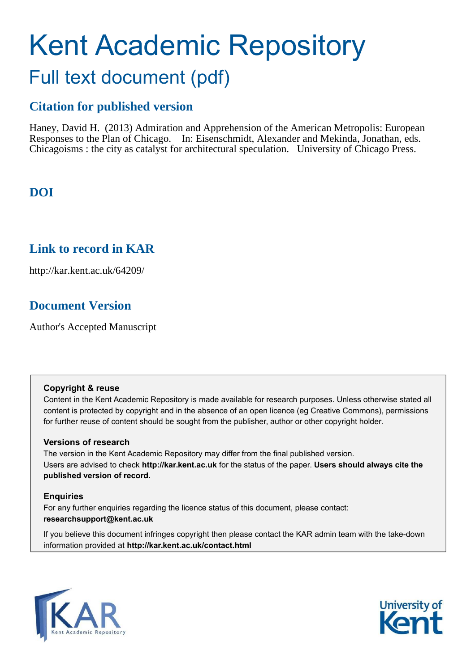# Kent Academic Repository Full text document (pdf)

## **Citation for published version**

Haney, David H. (2013) Admiration and Apprehension of the American Metropolis: European Responses to the Plan of Chicago. In: Eisenschmidt, Alexander and Mekinda, Jonathan, eds. Chicagoisms : the city as catalyst for architectural speculation. University of Chicago Press.

## **DOI**

## **Link to record in KAR**

http://kar.kent.ac.uk/64209/

## **Document Version**

Author's Accepted Manuscript

#### **Copyright & reuse**

Content in the Kent Academic Repository is made available for research purposes. Unless otherwise stated all content is protected by copyright and in the absence of an open licence (eg Creative Commons), permissions for further reuse of content should be sought from the publisher, author or other copyright holder.

#### **Versions of research**

The version in the Kent Academic Repository may differ from the final published version. Users are advised to check **http://kar.kent.ac.uk** for the status of the paper. **Users should always cite the published version of record.**

#### **Enquiries**

For any further enquiries regarding the licence status of this document, please contact: **researchsupport@kent.ac.uk**

If you believe this document infringes copyright then please contact the KAR admin team with the take-down information provided at **http://kar.kent.ac.uk/contact.html**



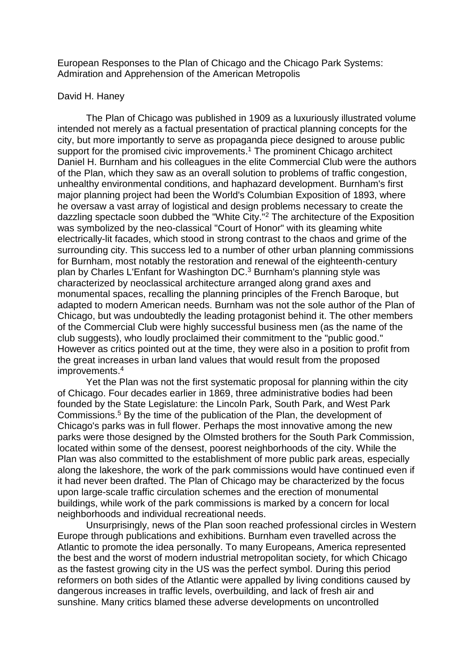European Responses to the Plan of Chicago and the Chicago Park Systems: Admiration and Apprehension of the American Metropolis

#### David H. Haney

 The Plan of Chicago was published in 1909 as a luxuriously illustrated volume intended not merely as a factual presentation of practical planning concepts for the city, but more importantly to serve as propaganda piece designed to arouse public support for the promised civic improvements.<sup>1</sup> The prominent Chicago architect Daniel H. Burnham and his colleagues in the elite Commercial Club were the authors of the Plan, which they saw as an overall solution to problems of traffic congestion, unhealthy environmental conditions, and haphazard development. Burnham's first major planning project had been the World's Columbian Exposition of 1893, where he oversaw a vast array of logistical and design problems necessary to create the dazzling spectacle soon dubbed the "White City."<sup>2</sup> The architecture of the Exposition was symbolized by the neo-classical "Court of Honor" with its gleaming white electrically-lit facades, which stood in strong contrast to the chaos and grime of the surrounding city. This success led to a number of other urban planning commissions for Burnham, most notably the restoration and renewal of the eighteenth-century plan by Charles L'Enfant for Washington DC.<sup>3</sup> Burnham's planning style was characterized by neoclassical architecture arranged along grand axes and monumental spaces, recalling the planning principles of the French Baroque, but adapted to modern American needs. Burnham was not the sole author of the Plan of Chicago, but was undoubtedly the leading protagonist behind it. The other members of the Commercial Club were highly successful business men (as the name of the club suggests), who loudly proclaimed their commitment to the "public good." However as critics pointed out at the time, they were also in a position to profit from the great increases in urban land values that would result from the proposed improvements.<sup>4</sup>

 Yet the Plan was not the first systematic proposal for planning within the city of Chicago. Four decades earlier in 1869, three administrative bodies had been founded by the State Legislature: the Lincoln Park, South Park, and West Park Commissions.<sup>5</sup> By the time of the publication of the Plan, the development of Chicago's parks was in full flower. Perhaps the most innovative among the new parks were those designed by the Olmsted brothers for the South Park Commission, located within some of the densest, poorest neighborhoods of the city. While the Plan was also committed to the establishment of more public park areas, especially along the lakeshore, the work of the park commissions would have continued even if it had never been drafted. The Plan of Chicago may be characterized by the focus upon large-scale traffic circulation schemes and the erection of monumental buildings, while work of the park commissions is marked by a concern for local neighborhoods and individual recreational needs.

 Unsurprisingly, news of the Plan soon reached professional circles in Western Europe through publications and exhibitions. Burnham even travelled across the Atlantic to promote the idea personally. To many Europeans, America represented the best and the worst of modern industrial metropolitan society, for which Chicago as the fastest growing city in the US was the perfect symbol. During this period reformers on both sides of the Atlantic were appalled by living conditions caused by dangerous increases in traffic levels, overbuilding, and lack of fresh air and sunshine. Many critics blamed these adverse developments on uncontrolled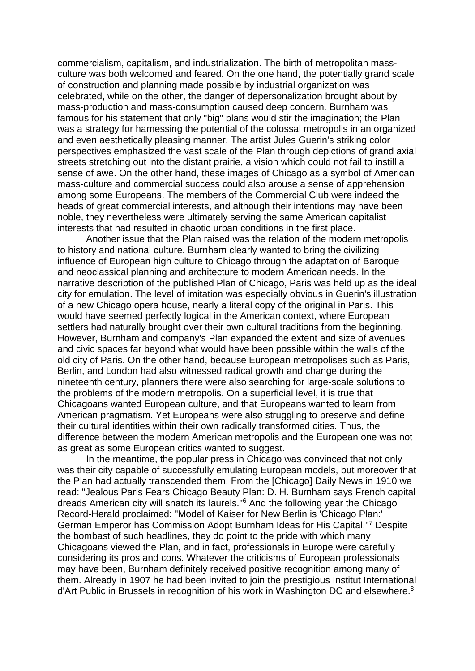commercialism, capitalism, and industrialization. The birth of metropolitan massculture was both welcomed and feared. On the one hand, the potentially grand scale of construction and planning made possible by industrial organization was celebrated, while on the other, the danger of depersonalization brought about by mass-production and mass-consumption caused deep concern. Burnham was famous for his statement that only "big" plans would stir the imagination; the Plan was a strategy for harnessing the potential of the colossal metropolis in an organized and even aesthetically pleasing manner. The artist Jules Guerin's striking color perspectives emphasized the vast scale of the Plan through depictions of grand axial streets stretching out into the distant prairie, a vision which could not fail to instill a sense of awe. On the other hand, these images of Chicago as a symbol of American mass-culture and commercial success could also arouse a sense of apprehension among some Europeans. The members of the Commercial Club were indeed the heads of great commercial interests, and although their intentions may have been noble, they nevertheless were ultimately serving the same American capitalist interests that had resulted in chaotic urban conditions in the first place.

 Another issue that the Plan raised was the relation of the modern metropolis to history and national culture. Burnham clearly wanted to bring the civilizing influence of European high culture to Chicago through the adaptation of Baroque and neoclassical planning and architecture to modern American needs. In the narrative description of the published Plan of Chicago, Paris was held up as the ideal city for emulation. The level of imitation was especially obvious in Guerin's illustration of a new Chicago opera house, nearly a literal copy of the original in Paris. This would have seemed perfectly logical in the American context, where European settlers had naturally brought over their own cultural traditions from the beginning. However, Burnham and company's Plan expanded the extent and size of avenues and civic spaces far beyond what would have been possible within the walls of the old city of Paris. On the other hand, because European metropolises such as Paris, Berlin, and London had also witnessed radical growth and change during the nineteenth century, planners there were also searching for large-scale solutions to the problems of the modern metropolis. On a superficial level, it is true that Chicagoans wanted European culture, and that Europeans wanted to learn from American pragmatism. Yet Europeans were also struggling to preserve and define their cultural identities within their own radically transformed cities. Thus, the difference between the modern American metropolis and the European one was not as great as some European critics wanted to suggest.

 In the meantime, the popular press in Chicago was convinced that not only was their city capable of successfully emulating European models, but moreover that the Plan had actually transcended them. From the [Chicago] Daily News in 1910 we read: "Jealous Paris Fears Chicago Beauty Plan: D. H. Burnham says French capital dreads American city will snatch its laurels."<sup>6</sup> And the following year the Chicago Record-Herald proclaimed: "Model of Kaiser for New Berlin is 'Chicago Plan:' German Emperor has Commission Adopt Burnham Ideas for His Capital."<sup>7</sup> Despite the bombast of such headlines, they do point to the pride with which many Chicagoans viewed the Plan, and in fact, professionals in Europe were carefully considering its pros and cons. Whatever the criticisms of European professionals may have been, Burnham definitely received positive recognition among many of them. Already in 1907 he had been invited to join the prestigious Institut International d'Art Public in Brussels in recognition of his work in Washington DC and elsewhere.<sup>8</sup>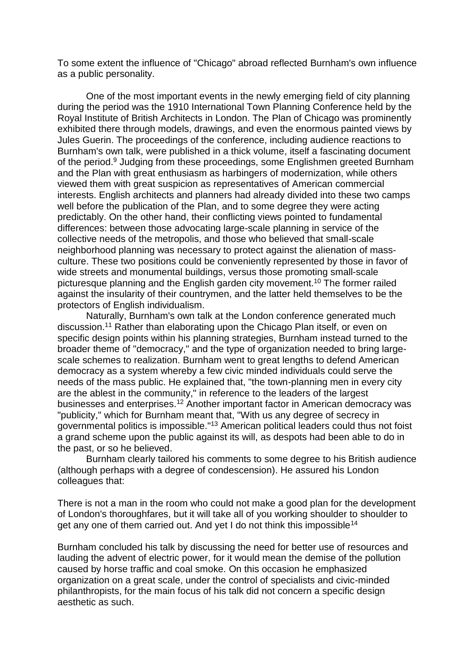To some extent the influence of "Chicago" abroad reflected Burnham's own influence as a public personality.

 One of the most important events in the newly emerging field of city planning during the period was the 1910 International Town Planning Conference held by the Royal Institute of British Architects in London. The Plan of Chicago was prominently exhibited there through models, drawings, and even the enormous painted views by Jules Guerin. The proceedings of the conference, including audience reactions to Burnham's own talk, were published in a thick volume, itself a fascinating document of the period.<sup>9</sup> Judging from these proceedings, some Englishmen greeted Burnham and the Plan with great enthusiasm as harbingers of modernization, while others viewed them with great suspicion as representatives of American commercial interests. English architects and planners had already divided into these two camps well before the publication of the Plan, and to some degree they were acting predictably. On the other hand, their conflicting views pointed to fundamental differences: between those advocating large-scale planning in service of the collective needs of the metropolis, and those who believed that small-scale neighborhood planning was necessary to protect against the alienation of massculture. These two positions could be conveniently represented by those in favor of wide streets and monumental buildings, versus those promoting small-scale picturesque planning and the English garden city movement.<sup>10</sup> The former railed against the insularity of their countrymen, and the latter held themselves to be the protectors of English individualism.

 Naturally, Burnham's own talk at the London conference generated much discussion.<sup>11</sup> Rather than elaborating upon the Chicago Plan itself, or even on specific design points within his planning strategies, Burnham instead turned to the broader theme of "democracy," and the type of organization needed to bring largescale schemes to realization. Burnham went to great lengths to defend American democracy as a system whereby a few civic minded individuals could serve the needs of the mass public. He explained that, "the town-planning men in every city are the ablest in the community," in reference to the leaders of the largest businesses and enterprises.<sup>12</sup> Another important factor in American democracy was "publicity," which for Burnham meant that, "With us any degree of secrecy in governmental politics is impossible."<sup>13</sup> American political leaders could thus not foist a grand scheme upon the public against its will, as despots had been able to do in the past, or so he believed.

 Burnham clearly tailored his comments to some degree to his British audience (although perhaps with a degree of condescension). He assured his London colleagues that:

There is not a man in the room who could not make a good plan for the development of London's thoroughfares, but it will take all of you working shoulder to shoulder to get any one of them carried out. And yet I do not think this impossible<sup>14</sup>

Burnham concluded his talk by discussing the need for better use of resources and lauding the advent of electric power, for it would mean the demise of the pollution caused by horse traffic and coal smoke. On this occasion he emphasized organization on a great scale, under the control of specialists and civic-minded philanthropists, for the main focus of his talk did not concern a specific design aesthetic as such.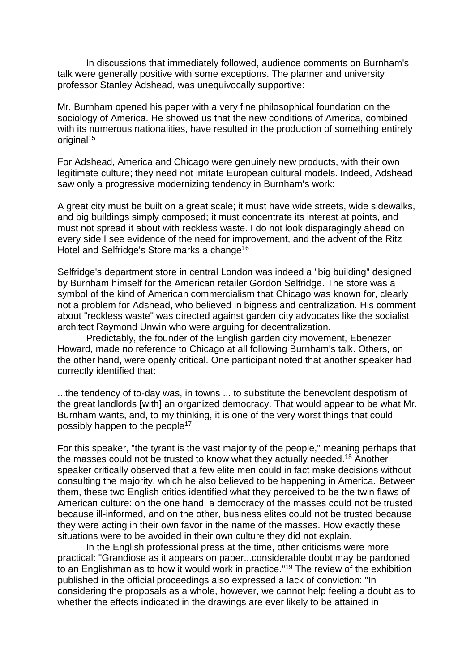In discussions that immediately followed, audience comments on Burnham's talk were generally positive with some exceptions. The planner and university professor Stanley Adshead, was unequivocally supportive:

Mr. Burnham opened his paper with a very fine philosophical foundation on the sociology of America. He showed us that the new conditions of America, combined with its numerous nationalities, have resulted in the production of something entirely original<sup>15</sup>

For Adshead, America and Chicago were genuinely new products, with their own legitimate culture; they need not imitate European cultural models. Indeed, Adshead saw only a progressive modernizing tendency in Burnham's work:

A great city must be built on a great scale; it must have wide streets, wide sidewalks, and big buildings simply composed; it must concentrate its interest at points, and must not spread it about with reckless waste. I do not look disparagingly ahead on every side I see evidence of the need for improvement, and the advent of the Ritz Hotel and Selfridge's Store marks a change<sup>16</sup>

Selfridge's department store in central London was indeed a "big building" designed by Burnham himself for the American retailer Gordon Selfridge. The store was a symbol of the kind of American commercialism that Chicago was known for, clearly not a problem for Adshead, who believed in bigness and centralization. His comment about "reckless waste" was directed against garden city advocates like the socialist architect Raymond Unwin who were arguing for decentralization.

 Predictably, the founder of the English garden city movement, Ebenezer Howard, made no reference to Chicago at all following Burnham's talk. Others, on the other hand, were openly critical. One participant noted that another speaker had correctly identified that:

...the tendency of to-day was, in towns ... to substitute the benevolent despotism of the great landlords [with] an organized democracy. That would appear to be what Mr. Burnham wants, and, to my thinking, it is one of the very worst things that could possibly happen to the people<sup>17</sup>

For this speaker, "the tyrant is the vast majority of the people," meaning perhaps that the masses could not be trusted to know what they actually needed.<sup>18</sup> Another speaker critically observed that a few elite men could in fact make decisions without consulting the majority, which he also believed to be happening in America. Between them, these two English critics identified what they perceived to be the twin flaws of American culture: on the one hand, a democracy of the masses could not be trusted because ill-informed, and on the other, business elites could not be trusted because they were acting in their own favor in the name of the masses. How exactly these situations were to be avoided in their own culture they did not explain.

 In the English professional press at the time, other criticisms were more practical: "Grandiose as it appears on paper...considerable doubt may be pardoned to an Englishman as to how it would work in practice."<sup>19</sup> The review of the exhibition published in the official proceedings also expressed a lack of conviction: "In considering the proposals as a whole, however, we cannot help feeling a doubt as to whether the effects indicated in the drawings are ever likely to be attained in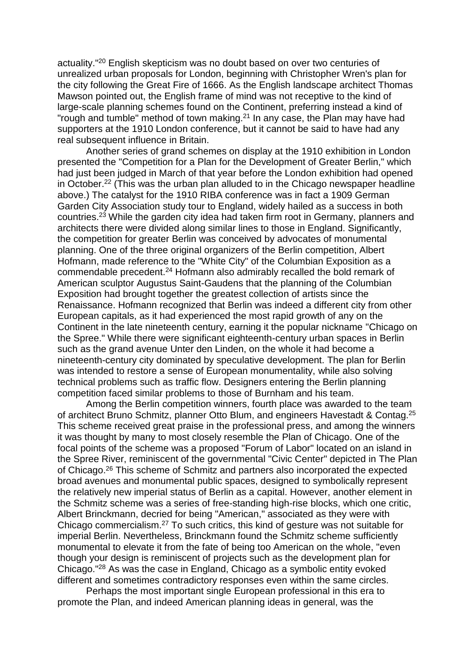actuality."<sup>20</sup> English skepticism was no doubt based on over two centuries of unrealized urban proposals for London, beginning with Christopher Wren's plan for the city following the Great Fire of 1666. As the English landscape architect Thomas Mawson pointed out, the English frame of mind was not receptive to the kind of large-scale planning schemes found on the Continent, preferring instead a kind of "rough and tumble" method of town making.<sup>21</sup> In any case, the Plan may have had supporters at the 1910 London conference, but it cannot be said to have had any real subsequent influence in Britain.

 Another series of grand schemes on display at the 1910 exhibition in London presented the "Competition for a Plan for the Development of Greater Berlin," which had just been judged in March of that year before the London exhibition had opened in October.<sup>22</sup> (This was the urban plan alluded to in the Chicago newspaper headline above.) The catalyst for the 1910 RIBA conference was in fact a 1909 German Garden City Association study tour to England, widely hailed as a success in both countries.<sup>23</sup> While the garden city idea had taken firm root in Germany, planners and architects there were divided along similar lines to those in England. Significantly, the competition for greater Berlin was conceived by advocates of monumental planning. One of the three original organizers of the Berlin competition, Albert Hofmann, made reference to the "White City" of the Columbian Exposition as a commendable precedent.<sup>24</sup> Hofmann also admirably recalled the bold remark of American sculptor Augustus Saint-Gaudens that the planning of the Columbian Exposition had brought together the greatest collection of artists since the Renaissance. Hofmann recognized that Berlin was indeed a different city from other European capitals, as it had experienced the most rapid growth of any on the Continent in the late nineteenth century, earning it the popular nickname "Chicago on the Spree." While there were significant eighteenth-century urban spaces in Berlin such as the grand avenue Unter den Linden, on the whole it had become a nineteenth-century city dominated by speculative development. The plan for Berlin was intended to restore a sense of European monumentality, while also solving technical problems such as traffic flow. Designers entering the Berlin planning competition faced similar problems to those of Burnham and his team.

 Among the Berlin competition winners, fourth place was awarded to the team of architect Bruno Schmitz, planner Otto Blum, and engineers Havestadt & Contag.<sup>25</sup> This scheme received great praise in the professional press, and among the winners it was thought by many to most closely resemble the Plan of Chicago. One of the focal points of the scheme was a proposed "Forum of Labor" located on an island in the Spree River, reminiscent of the governmental "Civic Center" depicted in The Plan of Chicago.<sup>26</sup> This scheme of Schmitz and partners also incorporated the expected broad avenues and monumental public spaces, designed to symbolically represent the relatively new imperial status of Berlin as a capital. However, another element in the Schmitz scheme was a series of free-standing high-rise blocks, which one critic, Albert Brinckmann, decried for being "American," associated as they were with Chicago commercialism.<sup>27</sup> To such critics, this kind of gesture was not suitable for imperial Berlin. Nevertheless, Brinckmann found the Schmitz scheme sufficiently monumental to elevate it from the fate of being too American on the whole, "even though your design is reminiscent of projects such as the development plan for Chicago."<sup>28</sup> As was the case in England, Chicago as a symbolic entity evoked different and sometimes contradictory responses even within the same circles.

 Perhaps the most important single European professional in this era to promote the Plan, and indeed American planning ideas in general, was the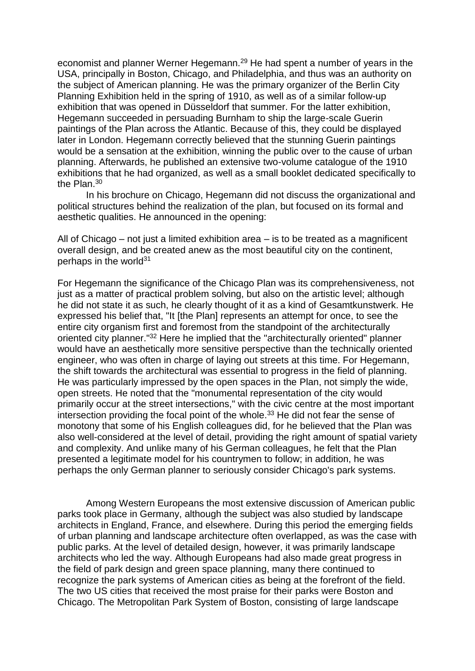economist and planner Werner Hegemann.<sup>29</sup> He had spent a number of years in the USA, principally in Boston, Chicago, and Philadelphia, and thus was an authority on the subject of American planning. He was the primary organizer of the Berlin City Planning Exhibition held in the spring of 1910, as well as of a similar follow-up exhibition that was opened in Düsseldorf that summer. For the latter exhibition, Hegemann succeeded in persuading Burnham to ship the large-scale Guerin paintings of the Plan across the Atlantic. Because of this, they could be displayed later in London. Hegemann correctly believed that the stunning Guerin paintings would be a sensation at the exhibition, winning the public over to the cause of urban planning. Afterwards, he published an extensive two-volume catalogue of the 1910 exhibitions that he had organized, as well as a small booklet dedicated specifically to the Plan.<sup>30</sup>

 In his brochure on Chicago, Hegemann did not discuss the organizational and political structures behind the realization of the plan, but focused on its formal and aesthetic qualities. He announced in the opening:

All of Chicago – not just a limited exhibition area – is to be treated as a magnificent overall design, and be created anew as the most beautiful city on the continent, perhaps in the world $31$ 

For Hegemann the significance of the Chicago Plan was its comprehensiveness, not just as a matter of practical problem solving, but also on the artistic level; although he did not state it as such, he clearly thought of it as a kind of Gesamtkunstwerk. He expressed his belief that, "It [the Plan] represents an attempt for once, to see the entire city organism first and foremost from the standpoint of the architecturally oriented city planner."<sup>32</sup> Here he implied that the "architecturally oriented" planner would have an aesthetically more sensitive perspective than the technically oriented engineer, who was often in charge of laying out streets at this time. For Hegemann, the shift towards the architectural was essential to progress in the field of planning. He was particularly impressed by the open spaces in the Plan, not simply the wide, open streets. He noted that the "monumental representation of the city would primarily occur at the street intersections," with the civic centre at the most important intersection providing the focal point of the whole.<sup>33</sup> He did not fear the sense of monotony that some of his English colleagues did, for he believed that the Plan was also well-considered at the level of detail, providing the right amount of spatial variety and complexity. And unlike many of his German colleagues, he felt that the Plan presented a legitimate model for his countrymen to follow; in addition, he was perhaps the only German planner to seriously consider Chicago's park systems.

 Among Western Europeans the most extensive discussion of American public parks took place in Germany, although the subject was also studied by landscape architects in England, France, and elsewhere. During this period the emerging fields of urban planning and landscape architecture often overlapped, as was the case with public parks. At the level of detailed design, however, it was primarily landscape architects who led the way. Although Europeans had also made great progress in the field of park design and green space planning, many there continued to recognize the park systems of American cities as being at the forefront of the field. The two US cities that received the most praise for their parks were Boston and Chicago. The Metropolitan Park System of Boston, consisting of large landscape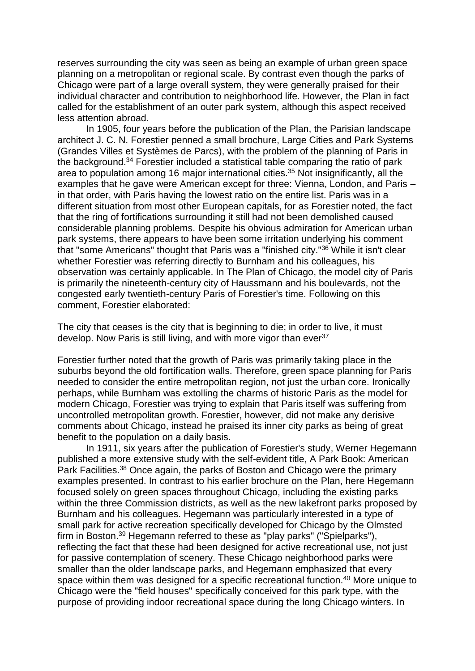reserves surrounding the city was seen as being an example of urban green space planning on a metropolitan or regional scale. By contrast even though the parks of Chicago were part of a large overall system, they were generally praised for their individual character and contribution to neighborhood life. However, the Plan in fact called for the establishment of an outer park system, although this aspect received less attention abroad.

 In 1905, four years before the publication of the Plan, the Parisian landscape architect J. C. N. Forestier penned a small brochure, Large Cities and Park Systems (Grandes Villes et Systèmes de Parcs), with the problem of the planning of Paris in the background.<sup>34</sup> Forestier included a statistical table comparing the ratio of park area to population among 16 major international cities.<sup>35</sup> Not insignificantly, all the examples that he gave were American except for three: Vienna, London, and Paris – in that order, with Paris having the lowest ratio on the entire list. Paris was in a different situation from most other European capitals, for as Forestier noted, the fact that the ring of fortifications surrounding it still had not been demolished caused considerable planning problems. Despite his obvious admiration for American urban park systems, there appears to have been some irritation underlying his comment that "some Americans" thought that Paris was a "finished city."<sup>36</sup> While it isn't clear whether Forestier was referring directly to Burnham and his colleagues, his observation was certainly applicable. In The Plan of Chicago, the model city of Paris is primarily the nineteenth-century city of Haussmann and his boulevards, not the congested early twentieth-century Paris of Forestier's time. Following on this comment, Forestier elaborated:

The city that ceases is the city that is beginning to die; in order to live, it must develop. Now Paris is still living, and with more vigor than ever<sup>37</sup>

Forestier further noted that the growth of Paris was primarily taking place in the suburbs beyond the old fortification walls. Therefore, green space planning for Paris needed to consider the entire metropolitan region, not just the urban core. Ironically perhaps, while Burnham was extolling the charms of historic Paris as the model for modern Chicago, Forestier was trying to explain that Paris itself was suffering from uncontrolled metropolitan growth. Forestier, however, did not make any derisive comments about Chicago, instead he praised its inner city parks as being of great benefit to the population on a daily basis.

 In 1911, six years after the publication of Forestier's study, Werner Hegemann published a more extensive study with the self-evident title, A Park Book: American Park Facilities.<sup>38</sup> Once again, the parks of Boston and Chicago were the primary examples presented. In contrast to his earlier brochure on the Plan, here Hegemann focused solely on green spaces throughout Chicago, including the existing parks within the three Commission districts, as well as the new lakefront parks proposed by Burnham and his colleagues. Hegemann was particularly interested in a type of small park for active recreation specifically developed for Chicago by the Olmsted firm in Boston.<sup>39</sup> Hegemann referred to these as "play parks" ("Spielparks"), reflecting the fact that these had been designed for active recreational use, not just for passive contemplation of scenery. These Chicago neighborhood parks were smaller than the older landscape parks, and Hegemann emphasized that every space within them was designed for a specific recreational function.<sup>40</sup> More unique to Chicago were the "field houses" specifically conceived for this park type, with the purpose of providing indoor recreational space during the long Chicago winters. In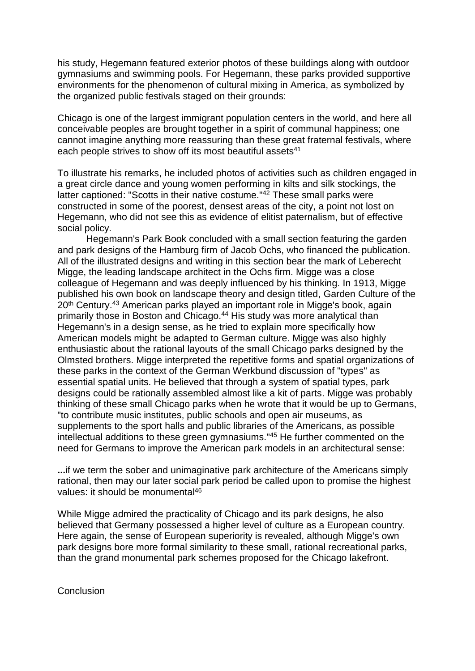his study, Hegemann featured exterior photos of these buildings along with outdoor gymnasiums and swimming pools. For Hegemann, these parks provided supportive environments for the phenomenon of cultural mixing in America, as symbolized by the organized public festivals staged on their grounds:

Chicago is one of the largest immigrant population centers in the world, and here all conceivable peoples are brought together in a spirit of communal happiness; one cannot imagine anything more reassuring than these great fraternal festivals, where each people strives to show off its most beautiful assets<sup>41</sup>

To illustrate his remarks, he included photos of activities such as children engaged in a great circle dance and young women performing in kilts and silk stockings, the latter captioned: "Scotts in their native costume."<sup>42</sup> These small parks were constructed in some of the poorest, densest areas of the city, a point not lost on Hegemann, who did not see this as evidence of elitist paternalism, but of effective social policy.

 Hegemann's Park Book concluded with a small section featuring the garden and park designs of the Hamburg firm of Jacob Ochs, who financed the publication. All of the illustrated designs and writing in this section bear the mark of Leberecht Migge, the leading landscape architect in the Ochs firm. Migge was a close colleague of Hegemann and was deeply influenced by his thinking. In 1913, Migge published his own book on landscape theory and design titled, Garden Culture of the 20<sup>th</sup> Century.<sup>43</sup> American parks played an important role in Migge's book, again primarily those in Boston and Chicago.<sup>44</sup> His study was more analytical than Hegemann's in a design sense, as he tried to explain more specifically how American models might be adapted to German culture. Migge was also highly enthusiastic about the rational layouts of the small Chicago parks designed by the Olmsted brothers. Migge interpreted the repetitive forms and spatial organizations of these parks in the context of the German Werkbund discussion of "types" as essential spatial units. He believed that through a system of spatial types, park designs could be rationally assembled almost like a kit of parts. Migge was probably thinking of these small Chicago parks when he wrote that it would be up to Germans, "to contribute music institutes, public schools and open air museums, as supplements to the sport halls and public libraries of the Americans, as possible intellectual additions to these green gymnasiums."<sup>45</sup> He further commented on the need for Germans to improve the American park models in an architectural sense:

**...**if we term the sober and unimaginative park architecture of the Americans simply rational, then may our later social park period be called upon to promise the highest values: it should be monumental<sup>46</sup>

While Migge admired the practicality of Chicago and its park designs, he also believed that Germany possessed a higher level of culture as a European country. Here again, the sense of European superiority is revealed, although Migge's own park designs bore more formal similarity to these small, rational recreational parks, than the grand monumental park schemes proposed for the Chicago lakefront.

**Conclusion**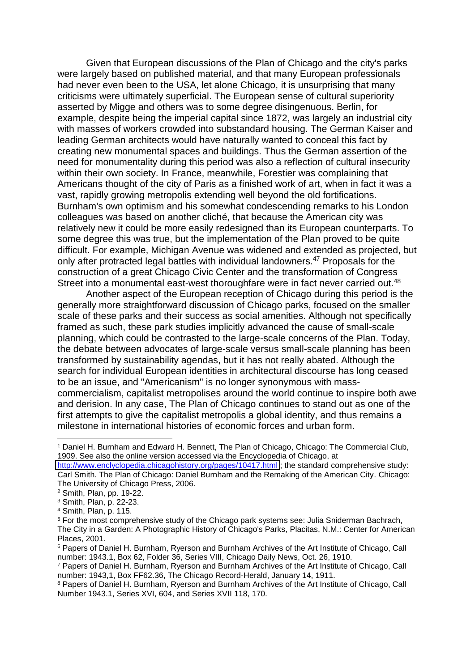Given that European discussions of the Plan of Chicago and the city's parks were largely based on published material, and that many European professionals had never even been to the USA, let alone Chicago, it is unsurprising that many criticisms were ultimately superficial. The European sense of cultural superiority asserted by Migge and others was to some degree disingenuous. Berlin, for example, despite being the imperial capital since 1872, was largely an industrial city with masses of workers crowded into substandard housing. The German Kaiser and leading German architects would have naturally wanted to conceal this fact by creating new monumental spaces and buildings. Thus the German assertion of the need for monumentality during this period was also a reflection of cultural insecurity within their own society. In France, meanwhile, Forestier was complaining that Americans thought of the city of Paris as a finished work of art, when in fact it was a vast, rapidly growing metropolis extending well beyond the old fortifications. Burnham's own optimism and his somewhat condescending remarks to his London colleagues was based on another cliché, that because the American city was relatively new it could be more easily redesigned than its European counterparts. To some degree this was true, but the implementation of the Plan proved to be quite difficult. For example, Michigan Avenue was widened and extended as projected, but only after protracted legal battles with individual landowners.<sup>47</sup> Proposals for the construction of a great Chicago Civic Center and the transformation of Congress Street into a monumental east-west thoroughfare were in fact never carried out.<sup>48</sup>

 Another aspect of the European reception of Chicago during this period is the generally more straightforward discussion of Chicago parks, focused on the smaller scale of these parks and their success as social amenities. Although not specifically framed as such, these park studies implicitly advanced the cause of small-scale planning, which could be contrasted to the large-scale concerns of the Plan. Today, the debate between advocates of large-scale versus small-scale planning has been transformed by sustainability agendas, but it has not really abated. Although the search for individual European identities in architectural discourse has long ceased to be an issue, and "Americanism" is no longer synonymous with masscommercialism, capitalist metropolises around the world continue to inspire both awe and derision. In any case, The Plan of Chicago continues to stand out as one of the first attempts to give the capitalist metropolis a global identity, and thus remains a milestone in international histories of economic forces and urban form.

1

<sup>1</sup> Daniel H. Burnham and Edward H. Bennett, The Plan of Chicago, Chicago: The Commercial Club, 1909. See also the online version accessed via the Encyclopedia of Chicago, at

<http://www.enclyclopedia.chicagohistory.org/pages/10417.html> ; the standard comprehensive study: Carl Smith. The Plan of Chicago: Daniel Burnham and the Remaking of the American City. Chicago: The University of Chicago Press, 2006.

<sup>2</sup> Smith, Plan, pp. 19-22.

<sup>3</sup> Smith, Plan, p. 22-23.

<sup>4</sup> Smith, Plan, p. 115.

<sup>&</sup>lt;sup>5</sup> For the most comprehensive study of the Chicago park systems see: Julia Sniderman Bachrach, The City in a Garden: A Photographic History of Chicago's Parks, Placitas, N.M.: Center for American Places, 2001.

<sup>6</sup> Papers of Daniel H. Burnham, Ryerson and Burnham Archives of the Art Institute of Chicago, Call number: 1943.1, Box 62, Folder 36, Series VIII, Chicago Daily News, Oct. 26, 1910.

<sup>7</sup> Papers of Daniel H. Burnham, Ryerson and Burnham Archives of the Art Institute of Chicago, Call number: 1943,1, Box FF62.36, The Chicago Record-Herald, January 14, 1911.

<sup>&</sup>lt;sup>8</sup> Papers of Daniel H. Burnham, Ryerson and Burnham Archives of the Art Institute of Chicago, Call Number 1943.1, Series XVI, 604, and Series XVII 118, 170.